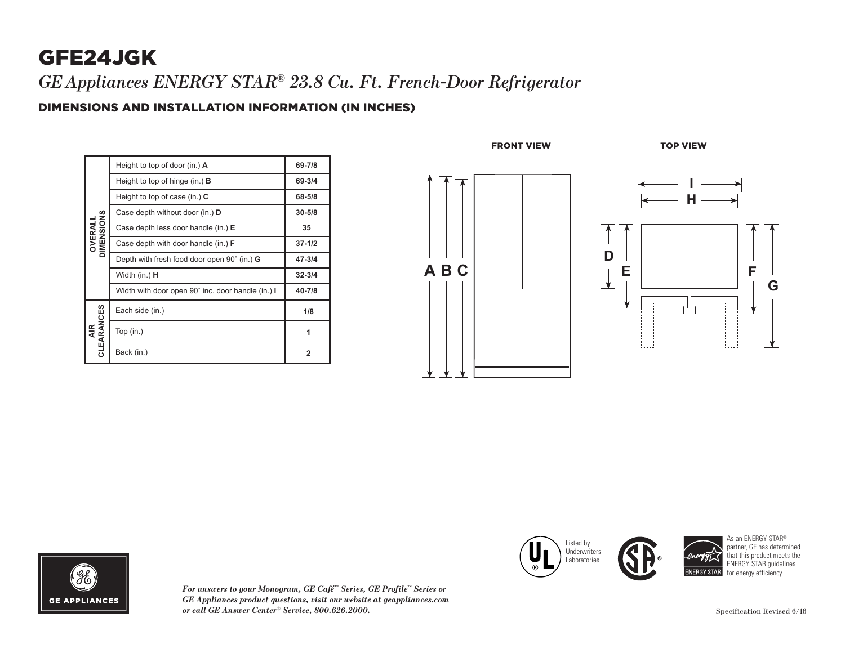# GFE24JGK

*GEAppliances ENERGY STAR® 23.8 Cu. Ft. French-Door Refrigerator*

### DIMENSIONS AND INSTALLATION INFORMATION (IN INCHES)

| <b>DIMENSIONS</b><br>OVERALI | Height to top of door (in.) $\bf{A}$               | 69-7/8         |
|------------------------------|----------------------------------------------------|----------------|
|                              | Height to top of hinge $(in.)$ <b>B</b>            | 69-3/4         |
|                              | Height to top of case (in.) $C$                    | 68-5/8         |
|                              | Case depth without door (in.) D                    | $30 - 5/8$     |
|                              | Case depth less door handle (in.) E                | 35             |
|                              | Case depth with door handle (in.) <b>F</b>         | $37 - 1/2$     |
|                              | Depth with fresh food door open 90° (in.) <b>G</b> | $47 - 3/4$     |
|                              | Width (in.) <b>H</b>                               | $32 - 3/4$     |
|                              | Width with door open 90° inc. door handle (in.) I  | 40-7/8         |
| AIR<br>CLEARANCES            | Each side (in.)                                    | 1/8            |
|                              | Top $(in.)$                                        | 1              |
|                              | Back (in.)                                         | $\overline{2}$ |







*For answers to your Monogram, GE Café™ Series, GE Profile™ Series or GE Appliances product questions, visit our website at geappliances.com or call GE Answer Center® Service, 800.626.2000.* Specification Revised 6/16





As an ENERGY STAR® partner, GE has determined that this product meets the ENERGY STAR guidelines for energy efficiency.